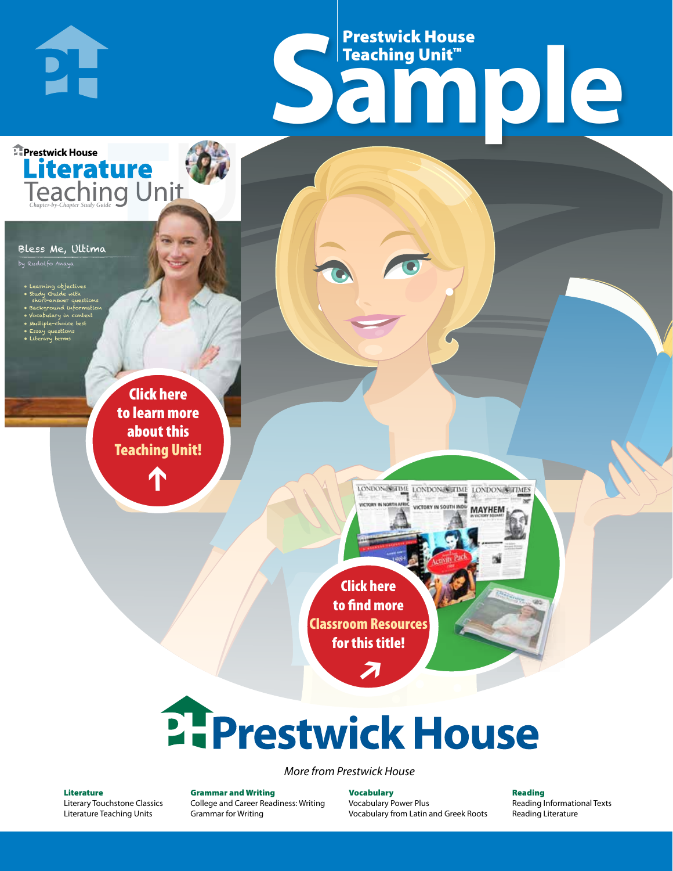# Frestwick House<br>
Sample Prestwick House Teaching Unit™

LONDON-SCITME LONDON/SCITME LONDON/SCITMES USERVAN IN COID

**MAYHEM** 

**Prestwick House** Literature

#### Bless Me, Ultima

**DH** 

by Rudolfo Anaya

- 
- Learning objectives • Study Guide with
- short-answer questions • Background information
- Vocabulary in context

**A Tale of Two Cities**

CHARLES DICKENS

- Multiple-choice test • Essay questions
- Literary terms

r e o r d e r n o . x x x x x x Click here to learn more about this [Teaching Unit!](https://www.prestwickhouse.com/book/id-300123/Bless_Me_Ultima_-_Teaching_Unit)

 $\mathbf{T}$ 

1

Click here to find more [Classroom Resources](http://teaching-english.prestwickhouse.com/search#w=bless%20me%20ultima)  for this title!

 $\overline{\boldsymbol{\lambda}}$ 

# 2. Prestwick House

#### *More from Prestwick House*

#### Literature

[Literary Touchstone Classics](https://www.prestwickhouse.com/literary-touchstone-classics) [Literature Teaching Units](https://www.prestwickhouse.com/teaching-units)

Grammar and Writing [College and Career Readiness: Writing](https://www.prestwickhouse.com/college-and-career-readiness-writing) [Grammar for Writing](https://www.prestwickhouse.com/book/id-302639/Grammar_for_Writing_-_30_Books_and_Teachers_Edition)

Vocabulary [Vocabulary Power Plus](https://www.prestwickhouse.com/vocabulary-power-plus-for-college-and-career-readiness) [Vocabulary from Latin and Greek Roots](https://www.prestwickhouse.com/vocabulary-from-latin-and-greek-roots) Reading

[Reading Informational Texts](https://www.prestwickhouse.com/reading-informational-texts) [Reading Literature](https://www.prestwickhouse.com/reading-literature)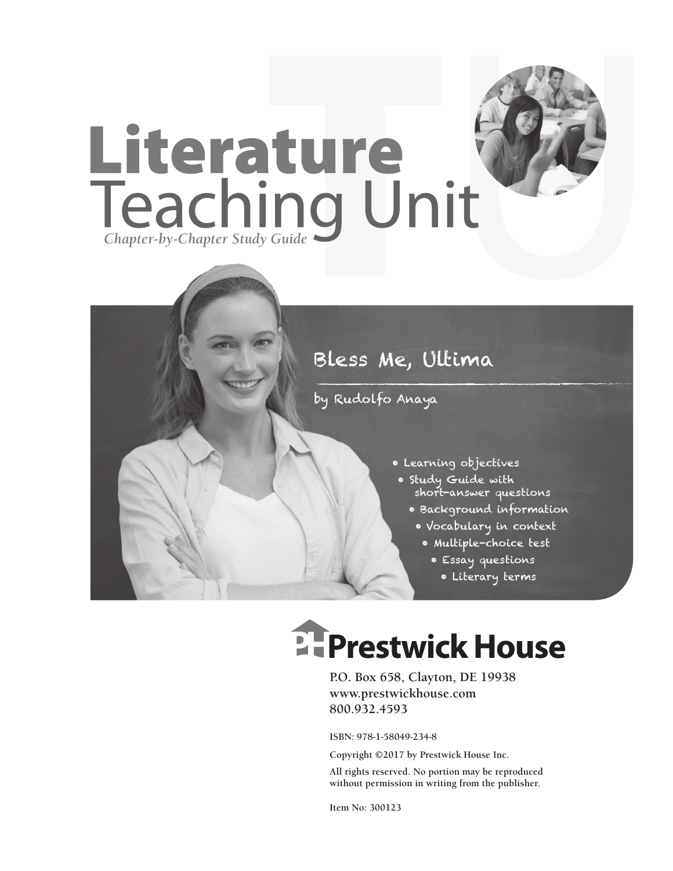

## Bless Me, Ultima

by Rudolfo Anaya

- Learning objectives
- Study Guide with short-answer questions
	- Background information
	- Vocabulary in context
		- Multiple-choice test
			- Essay questions
			- Literary terms

# **E-Prestwick House**

**P.O. Box 658, Clayton, DE 19938 www.prestwickhouse.com 800.932.4593**

**ISBN: 978-1-58049-234-8**

**Copyright ©2017 by Prestwick House Inc.**

**All rights reserved. No portion may be reproduced without permission in writing from the publisher.**

**Item No: 300123**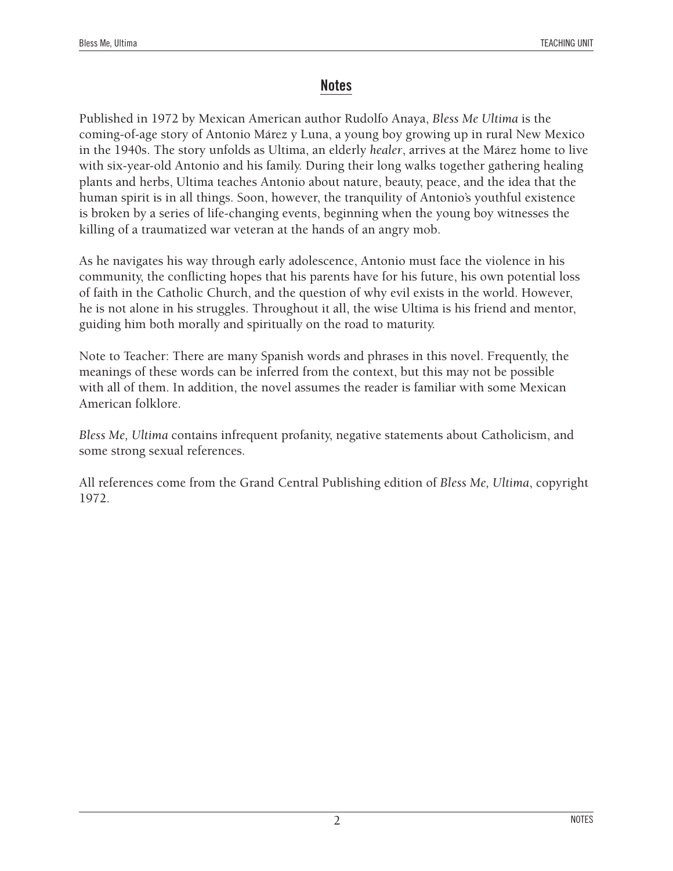#### **Notes**

Published in 1972 by Mexican American author Rudolfo Anaya, *Bless Me Ultima* is the coming-of-age story of Antonio Márez y Luna, a young boy growing up in rural New Mexico in the 1940s. The story unfolds as Ultima, an elderly *healer*, arrives at the Márez home to live with six-year-old Antonio and his family. During their long walks together gathering healing plants and herbs, Ultima teaches Antonio about nature, beauty, peace, and the idea that the human spirit is in all things. Soon, however, the tranquility of Antonio's youthful existence is broken by a series of life-changing events, beginning when the young boy witnesses the killing of a traumatized war veteran at the hands of an angry mob.

As he navigates his way through early adolescence, Antonio must face the violence in his community, the conflicting hopes that his parents have for his future, his own potential loss of faith in the Catholic Church, and the question of why evil exists in the world. However, he is not alone in his struggles. Throughout it all, the wise Ultima is his friend and mentor, guiding him both morally and spiritually on the road to maturity.

Note to Teacher: There are many Spanish words and phrases in this novel. Frequently, the meanings of these words can be inferred from the context, but this may not be possible with all of them. In addition, the novel assumes the reader is familiar with some Mexican American folklore.

*Bless Me, Ultima* contains infrequent profanity, negative statements about Catholicism, and some strong sexual references.

All references come from the Grand Central Publishing edition of *Bless Me, Ultima*, copyright 1972.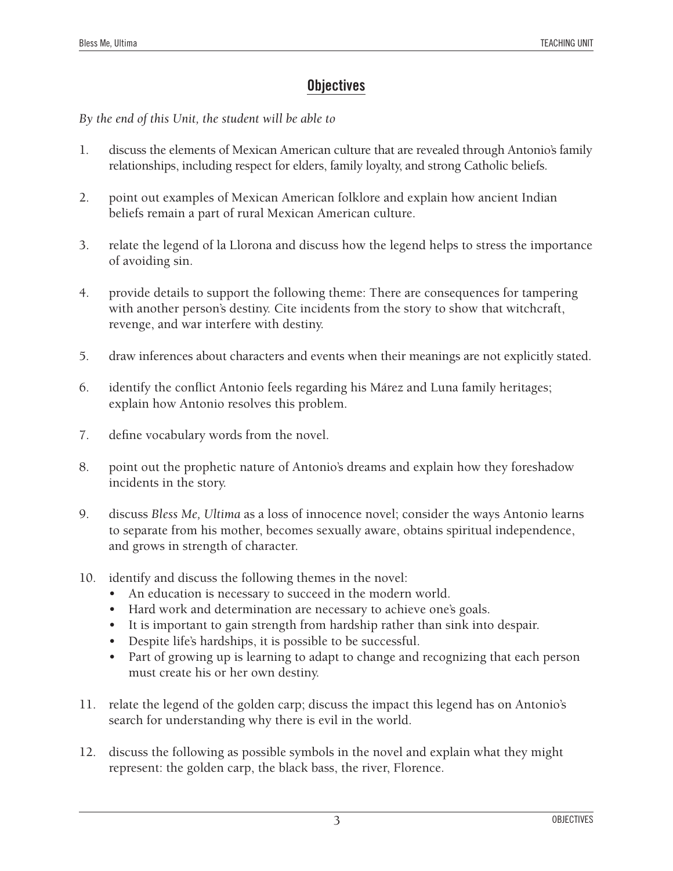## **Objectives**

*By the end of this Unit, the student will be able to*

- 1. discuss the elements of Mexican American culture that are revealed through Antonio's family relationships, including respect for elders, family loyalty, and strong Catholic beliefs.
- 2. point out examples of Mexican American folklore and explain how ancient Indian beliefs remain a part of rural Mexican American culture.
- 3. relate the legend of la Llorona and discuss how the legend helps to stress the importance of avoiding sin.
- 4. provide details to support the following theme: There are consequences for tampering with another person's destiny. Cite incidents from the story to show that witchcraft, revenge, and war interfere with destiny.
- 5. draw inferences about characters and events when their meanings are not explicitly stated.
- 6. identify the conflict Antonio feels regarding his Márez and Luna family heritages; explain how Antonio resolves this problem.
- 7. define vocabulary words from the novel.
- 8. point out the prophetic nature of Antonio's dreams and explain how they foreshadow incidents in the story.
- 9. discuss *Bless Me, Ultima* as a loss of innocence novel; consider the ways Antonio learns to separate from his mother, becomes sexually aware, obtains spiritual independence, and grows in strength of character.
- 10. identify and discuss the following themes in the novel:
	- An education is necessary to succeed in the modern world.
	- Hard work and determination are necessary to achieve one's goals.
	- It is important to gain strength from hardship rather than sink into despair.
	- Despite life's hardships, it is possible to be successful.
	- Part of growing up is learning to adapt to change and recognizing that each person must create his or her own destiny.
- 11. relate the legend of the golden carp; discuss the impact this legend has on Antonio's search for understanding why there is evil in the world.
- 12. discuss the following as possible symbols in the novel and explain what they might represent: the golden carp, the black bass, the river, Florence.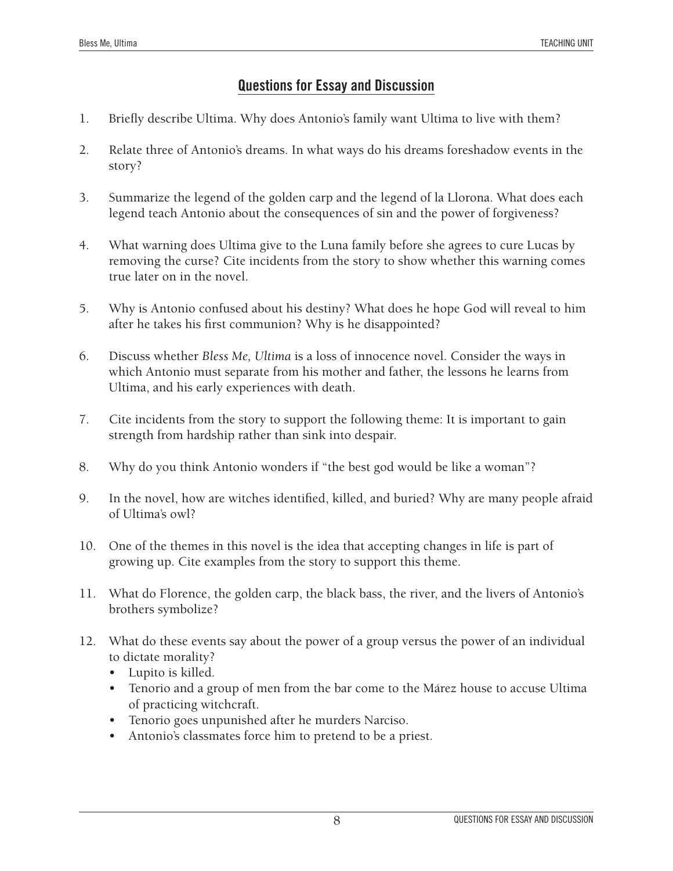### **Questions for Essay and Discussion**

- 1. Briefly describe Ultima. Why does Antonio's family want Ultima to live with them?
- 2. Relate three of Antonio's dreams. In what ways do his dreams foreshadow events in the story?
- 3. Summarize the legend of the golden carp and the legend of la Llorona. What does each legend teach Antonio about the consequences of sin and the power of forgiveness?
- 4. What warning does Ultima give to the Luna family before she agrees to cure Lucas by removing the curse? Cite incidents from the story to show whether this warning comes true later on in the novel.
- 5. Why is Antonio confused about his destiny? What does he hope God will reveal to him after he takes his first communion? Why is he disappointed?
- 6. Discuss whether *Bless Me, Ultima* is a loss of innocence novel. Consider the ways in which Antonio must separate from his mother and father, the lessons he learns from Ultima, and his early experiences with death.
- 7. Cite incidents from the story to support the following theme: It is important to gain strength from hardship rather than sink into despair.
- 8. Why do you think Antonio wonders if "the best god would be like a woman"?
- 9. In the novel, how are witches identified, killed, and buried? Why are many people afraid of Ultima's owl?
- 10. One of the themes in this novel is the idea that accepting changes in life is part of growing up. Cite examples from the story to support this theme.
- 11. What do Florence, the golden carp, the black bass, the river, and the livers of Antonio's brothers symbolize?
- 12. What do these events say about the power of a group versus the power of an individual to dictate morality?
	- Lupito is killed.
	- Tenorio and a group of men from the bar come to the Márez house to accuse Ultima of practicing witchcraft.
	- Tenorio goes unpunished after he murders Narciso.
	- Antonio's classmates force him to pretend to be a priest.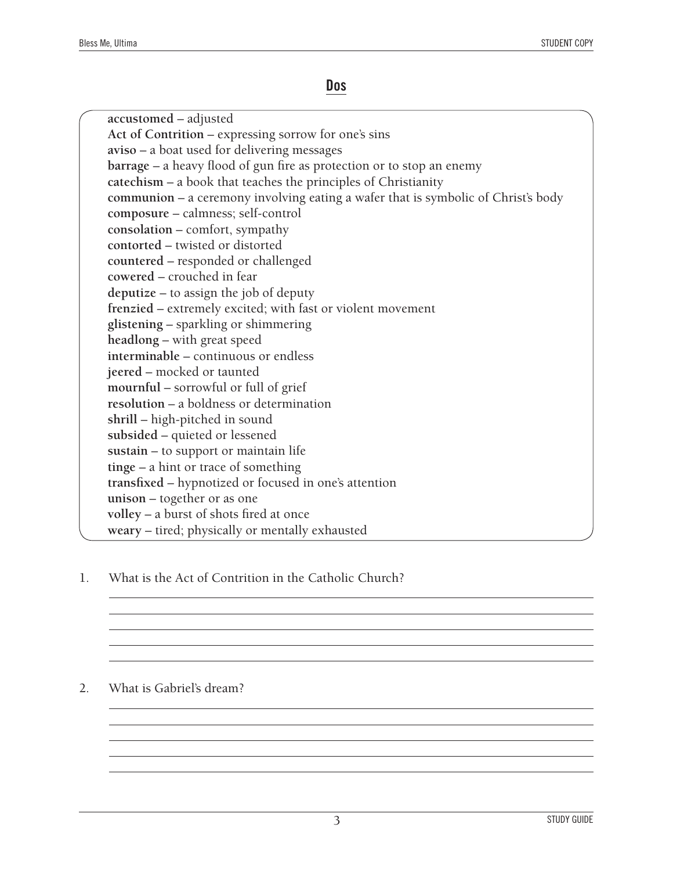#### **Dos**

**accustomed** – adjusted **Act of Contrition** – expressing sorrow for one's sins **aviso** – a boat used for delivering messages **barrage** – a heavy flood of gun fire as protection or to stop an enemy **catechism** – a book that teaches the principles of Christianity **communion** – a ceremony involving eating a wafer that is symbolic of Christ's body **composure** – calmness; self-control **consolation** – comfort, sympathy **contorted** – twisted or distorted **countered** – responded or challenged **cowered** – crouched in fear **deputize** – to assign the job of deputy **frenzied** – extremely excited; with fast or violent movement **glistening** – sparkling or shimmering **headlong** – with great speed **interminable** – continuous or endless **jeered** – mocked or taunted **mournful** – sorrowful or full of grief **resolution** – a boldness or determination **shrill** – high-pitched in sound **subsided** – quieted or lessened **sustain** – to support or maintain life **tinge** – a hint or trace of something **transfixed** – hypnotized or focused in one's attention **unison** – together or as one **volley** – a burst of shots fired at once **weary** – tired; physically or mentally exhausted

1. What is the Act of Contrition in the Catholic Church?

#### 2. What is Gabriel's dream?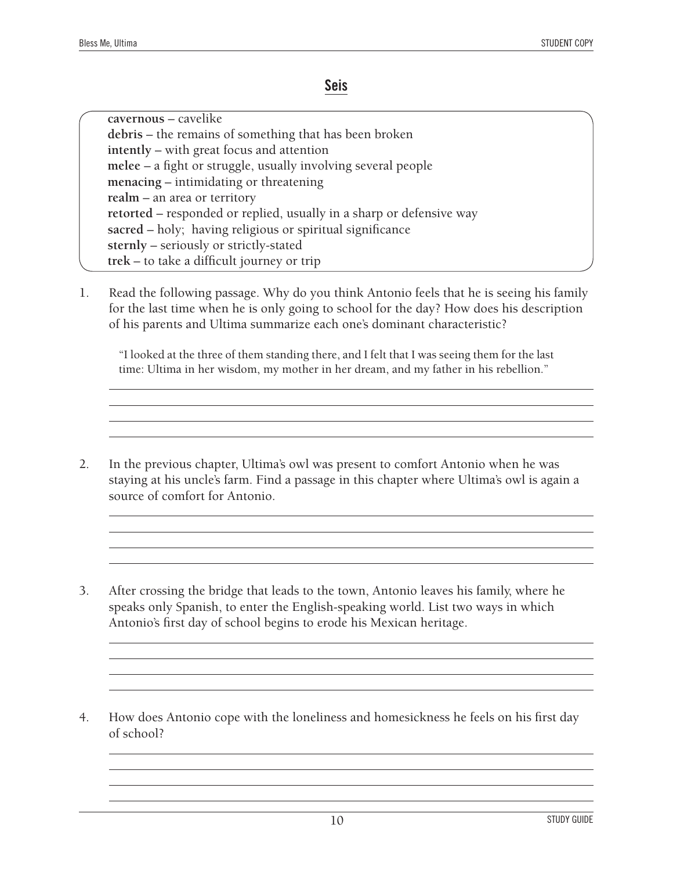#### **Seis**

**cavernous** – cavelike **debris** – the remains of something that has been broken **intently** – with great focus and attention **melee** – a fight or struggle, usually involving several people **menacing** – intimidating or threatening **realm** – an area or territory **retorted** – responded or replied, usually in a sharp or defensive way **sacred** – holy; having religious or spiritual significance **sternly** – seriously or strictly-stated **trek** – to take a difficult journey or trip

1. Read the following passage. Why do you think Antonio feels that he is seeing his family for the last time when he is only going to school for the day? How does his description of his parents and Ultima summarize each one's dominant characteristic?

"I looked at the three of them standing there, and I felt that I was seeing them for the last time: Ultima in her wisdom, my mother in her dream, and my father in his rebellion."

- 2. In the previous chapter, Ultima's owl was present to comfort Antonio when he was staying at his uncle's farm. Find a passage in this chapter where Ultima's owl is again a source of comfort for Antonio.
- 3. After crossing the bridge that leads to the town, Antonio leaves his family, where he speaks only Spanish, to enter the English-speaking world. List two ways in which Antonio's first day of school begins to erode his Mexican heritage.
- 4. How does Antonio cope with the loneliness and homesickness he feels on his first day of school?